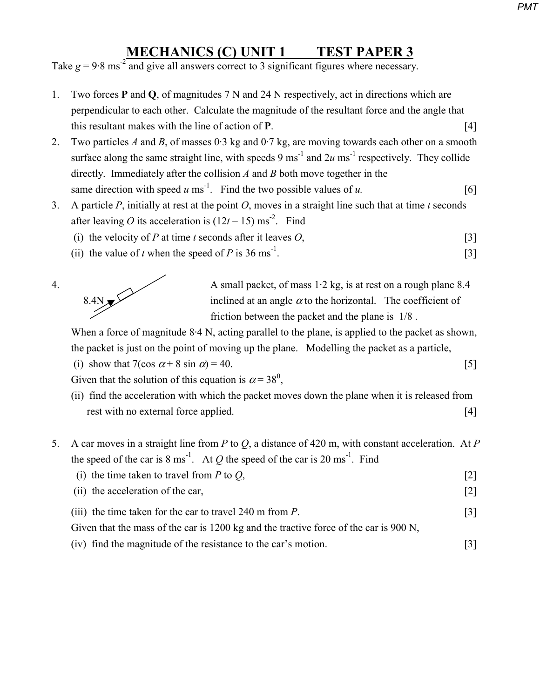## **MECHANICS (C) UNIT 1 TEST PAPER 3**

Take  $g = 9.8 \text{ ms}^{-2}$  and give all answers correct to 3 significant figures where necessary.

- 1. Two forces **P** and **Q**, of magnitudes 7 N and 24 N respectively, act in directions which are perpendicular to each other. Calculate the magnitude of the resultant force and the angle that this resultant makes with the line of action of **P**. [4]
- 2. Two particles *A* and *B*, of masses  $0.3$  kg and  $0.7$  kg, are moving towards each other on a smooth surface along the same straight line, with speeds  $9 \text{ ms}^{-1}$  and  $2u \text{ ms}^{-1}$  respectively. They collide directly. Immediately after the collision *A* and *B* both move together in the same direction with speed  $u$  ms<sup>-1</sup>. Find the two possible values of  $u$ . [6]
- 3. A particle *P*, initially at rest at the point *O*, moves in a straight line such that at time *t* seconds after leaving *O* its acceleration is  $(12t - 15)$  ms<sup>-2</sup>. Find
	- (i) the velocity of *P* at time *t* seconds after it leaves  $O$ , [3]
	- (ii) the value of *t* when the speed of *P* is 36 ms<sup>-1</sup>. [3]



4. A small packet, of mass 1.2 kg, is at rest on a rough plane 8.4 inclined at an angle  $\alpha$  to the horizontal. The coefficient of inclined at an angle  $\alpha$  to the horizontal. The coefficient of friction between the packet and the plane is 1/8 .

When a force of magnitude 8.4 N, acting parallel to the plane, is applied to the packet as shown, the packet is just on the point of moving up the plane. Modelling the packet as a particle,

(i) show that 
$$
7(\cos \alpha + 8 \sin \alpha) = 40
$$
. [5]

Given that the solution of this equation is  $\alpha = 38^\circ$ ,

- (ii) find the acceleration with which the packet moves down the plane when it is released from rest with no external force applied. [4]
- 5. A car moves in a straight line from *P* to *Q*, a distance of 420 m, with constant acceleration. At *P* the speed of the car is  $8 \text{ ms}^{-1}$ . At *Q* the speed of the car is  $20 \text{ ms}^{-1}$ . Find
	- (i) the time taken to travel from  $P$  to  $Q$ , [2] (ii) the acceleration of the car, [2] (iii) the time taken for the car to travel 240 m from *P*. [3] Given that the mass of the car is 1200 kg and the tractive force of the car is 900 N,
	- (iv) find the magnitude of the resistance to the car's motion. [3]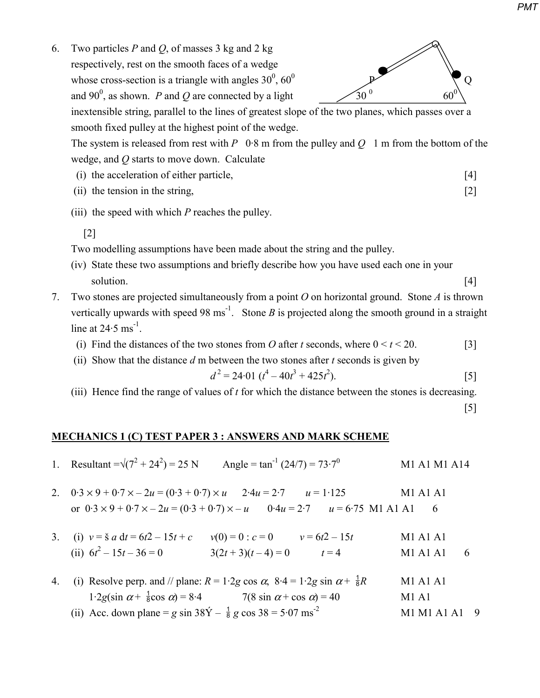

6. Two particles *P* and *Q*, of masses 3 kg and 2 kg respectively, rest on the smooth faces of a wedge whose cross-section is a triangle with angles  $30^0$ ,  $60^0$ and 90<sup>0</sup>, as shown. *P* and *Q* are connected by a light  $\frac{30^0}{400}$ 

 inextensible string, parallel to the lines of greatest slope of the two planes, which passes over a smooth fixed pulley at the highest point of the wedge.

The system is released from rest with  $P \quad 0.8$  m from the pulley and  $Q \quad 1$  m from the bottom of the wedge, and *Q* starts to move down. Calculate

- (i) the acceleration of either particle, [4]
- (ii) the tension in the string, [2]
- (iii) the speed with which *P* reaches the pulley.
	- [2]

Two modelling assumptions have been made about the string and the pulley.

- (iv) State these two assumptions and briefly describe how you have used each one in your solution. [4]
- 7. Two stones are projected simultaneously from a point *O* on horizontal ground. Stone *A* is thrown vertically upwards with speed 98 ms<sup>-1</sup>. Stone *B* is projected along the smooth ground in a straight line at  $24.5 \text{ ms}^{-1}$ .
	- (i) Find the distances of the two stones from *O* after *t* seconds, where  $0 \le t \le 20$ . [3]
	- (ii) Show that the distance *d* m between the two stones after *t* seconds is given by

$$
d^2 = 24.01 \ (t^4 - 40t^3 + 425t^2). \tag{5}
$$

(iii) Hence find the range of values of *t* for which the distance between the stones is decreasing.

[5]

## **MECHANICS 1 (C) TEST PAPER 3 : ANSWERS AND MARK SCHEME**

- 1. Resultant = $\sqrt{(7^2 + 24^2)} = 25$  N Angle = tan<sup>-1</sup> (24/7) = 73·7<sup>0</sup> M1 A1 M1 A14
- 2.  $0.3 \times 9 + 0.7 \times -2u = (0.3 + 0.7) \times u$   $2.4u = 2.7$   $u = 1.125$  M1 A1 A1 or  $0.3 \times 9 + 0.7 \times -2u = (0.3 + 0.7) \times -u$   $0.4u = 2.7$   $u = 6.75$  M1 A1 A1 6
- 3. (i)  $v = \frac{3}{5} a \, dt = 6t^2 15t + c$   $v(0) = 0$ :  $c = 0$   $v = 6t^2 15t$  M1 A1 A1 (ii)  $6t^2 - 15t - 36 = 0$   $3(2t + 3)(t - 4) = 0$   $t = 4$  M1 A1 A1 6
- 4. (i) Resolve perp. and // plane:  $R = 1.2g \cos \alpha$ ,  $8.4 = 1.2g \sin \alpha + \frac{1}{8}R$  M1 A1 A1 1·2*g*(sin  $\alpha + \frac{1}{8}$ cos  $\alpha$ ) = 8·4 7(8 sin  $\alpha$  + cos  $\alpha$ ) = 40 M1 A1 (ii) Acc. down plane = *g* sin  $38\dot{Y} - \frac{1}{8}g \cos 38 = 5.07$  ms<sup>-2</sup> M1 M1 A1 A1 9